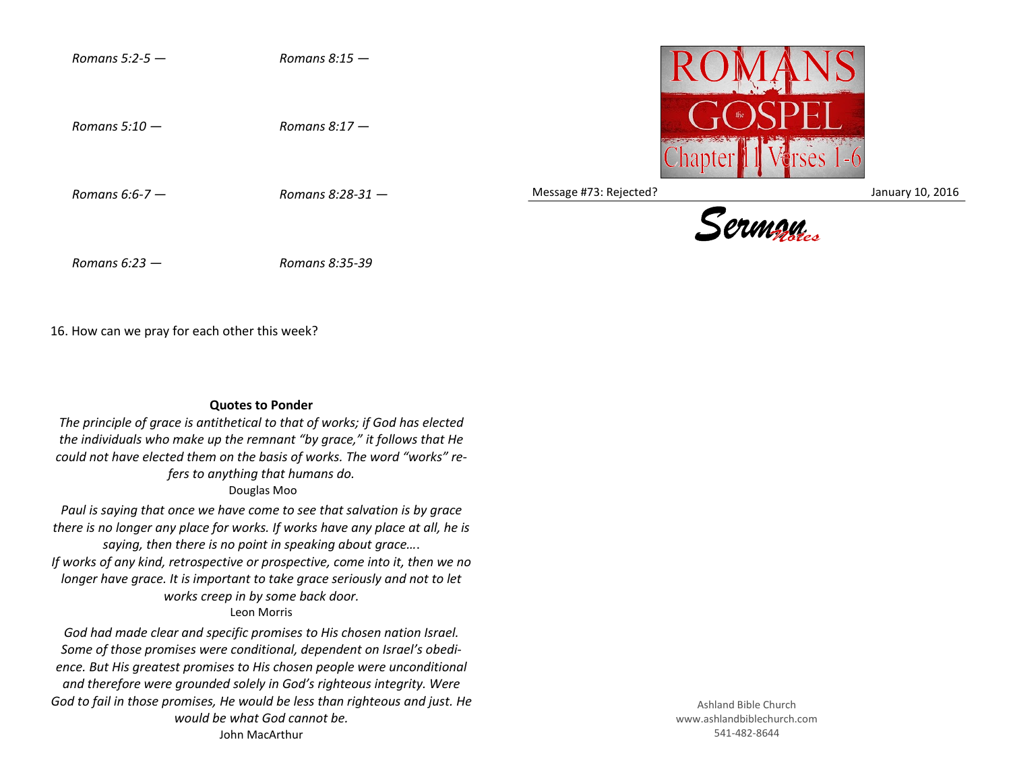

16. How can we pray for each other this week?

## **Quotes to Ponder**

*The principle of grace is antithetical to that of works; if God has elected the individuals who make up the remnant "by grace," it follows that He could not have elected them on the basis of works. The word "works" refers to anything that humans do.*

Douglas Moo

*Paul is saying that once we have come to see that salvation is by grace there is no longer any place for works. If works have any place at all, he is saying, then there is no point in speaking about grace…*. *If works of any kind, retrospective or prospective, come into it, then we no longer have grace. It is important to take grace seriously and not to let works creep in by some back door.* Leon Morris

*God had made clear and specific promises to His chosen nation Israel. Some of those promises were conditional, dependent on Israel's obedience. But His greatest promises to His chosen people were unconditional and therefore were grounded solely in God's righteous integrity. Were God to fail in those promises, He would be less than righteous and just. He would be what God cannot be.* John MacArthur

Ashland Bible Church www.ashlandbiblechurch.com 541-482-8644